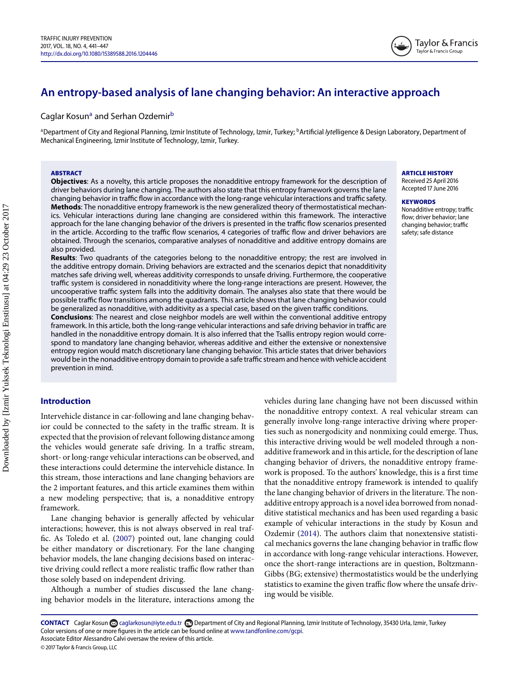# **An entropy-based analysis of lane changing behavior: An interactive approach**

## C[a](#page-0-0)glar Kosun<sup>a</sup> and Serhan Ozdemir<sup>[b](#page-0-1)</sup>

<span id="page-0-0"></span><sup>a</sup>Department of City and Regional Planning, Izmir Institute of Technology, Izmir, Turkey; <sup>b</sup>Artificial *Iyte*lligence & Design Laboratory, Department of Mechanical Engineering, Izmir Institute of Technology, Izmir, Turkey.

#### **ABSTRACT**

**Objectives**: As a novelty, this article proposes the nonadditive entropy framework for the description of driver behaviors during lane changing. The authors also state that this entropy framework governs the lane changing behavior in traffic flow in accordance with the long-range vehicular interactions and traffic safety. **Methods**: The nonadditive entropy framework is the new generalized theory of thermostatistical mechanics. Vehicular interactions during lane changing are considered within this framework. The interactive approach for the lane changing behavior of the drivers is presented in the traffic flow scenarios presented in the article. According to the traffic flow scenarios, 4 categories of traffic flow and driver behaviors are obtained. Through the scenarios, comparative analyses of nonadditive and additive entropy domains are also provided.

**Results**: Two quadrants of the categories belong to the nonadditive entropy; the rest are involved in the additive entropy domain. Driving behaviors are extracted and the scenarios depict that nonadditivity matches safe driving well, whereas additivity corresponds to unsafe driving. Furthermore, the cooperative traffic system is considered in nonadditivity where the long-range interactions are present. However, the uncooperative traffic system falls into the additivity domain. The analyses also state that there would be possible traffic flow transitions among the quadrants. This article shows that lane changing behavior could be generalized as nonadditive, with additivity as a special case, based on the given traffic conditions.

**Conclusions**: The nearest and close neighbor models are well within the conventional additive entropy framework. In this article, both the long-range vehicular interactions and safe driving behavior in traffic are handled in the nonadditive entropy domain. It is also inferred that the Tsallis entropy region would correspond to mandatory lane changing behavior, whereas additive and either the extensive or nonextensive entropy region would match discretionary lane changing behavior. This article states that driver behaviors would be in the nonadditive entropy domain to provide a safe traffic stream and hence with vehicle accident prevention in mind.

#### **Introduction**

Intervehicle distance in car-following and lane changing behavior could be connected to the safety in the traffic stream. It is expected that the provision of relevant following distance among the vehicles would generate safe driving. In a traffic stream, short- or long-range vehicular interactions can be observed, and these interactions could determine the intervehicle distance. In this stream, those interactions and lane changing behaviors are the 2 important features, and this article examines them within a new modeling perspective; that is, a nonadditive entropy framework.

Lane changing behavior is generally affected by vehicular interactions; however, this is not always observed in real traffic. As Toledo et al. [\(2007\)](#page-6-0) pointed out, lane changing could be either mandatory or discretionary. For the lane changing behavior models, the lane changing decisions based on interactive driving could reflect a more realistic traffic flow rather than those solely based on independent driving.

Although a number of studies discussed the lane changing behavior models in the literature, interactions among the

vehicles during lane changing have not been discussed within the nonadditive entropy context. A real vehicular stream can generally involve long-range interactive driving where properties such as nonergodicity and nonmixing could emerge. Thus, this interactive driving would be well modeled through a nonadditive framework and in this article, for the description of lane changing behavior of drivers, the nonadditive entropy framework is proposed. To the authors' knowledge, this is a first time that the nonadditive entropy framework is intended to qualify the lane changing behavior of drivers in the literature. The nonadditive entropy approach is a novel idea borrowed from nonadditive statistical mechanics and has been used regarding a basic example of vehicular interactions in the study by Kosun and Ozdemir [\(2014\)](#page-6-1). The authors claim that nonextensive statistical mechanics governs the lane changing behavior in traffic flow in accordance with long-range vehicular interactions. However, once the short-range interactions are in question, Boltzmann-Gibbs (BG; extensive) thermostatistics would be the underlying statistics to examine the given traffic flow where the unsafe driving would be visible.

CONTACT Caglar Kosun **C** [caglarkosun@iyte.edu.tr](mailto:caglarkosun@iyte.edu.tr) **C** Department of City and Regional Planning, Izmir Institute of Technology, 35430 Urla, Izmir, Turkey Color versions of one or more figures in the article can be found online at [www.tandfonline.com/gcpi.](http://www.tandfonline.com/gcpi) Associate Editor Alessandro Calvi oversaw the review of this article.

© 2017 Taylor & Francis Group, LLC

## <span id="page-0-1"></span>**ARTICLE HISTORY**

Received 25 April 2016 Accepted 17 June 2016

#### **KEYWORDS**

Nonadditive entropy; traffic flow; driver behavior; lane changing behavior; traffic safety; safe distance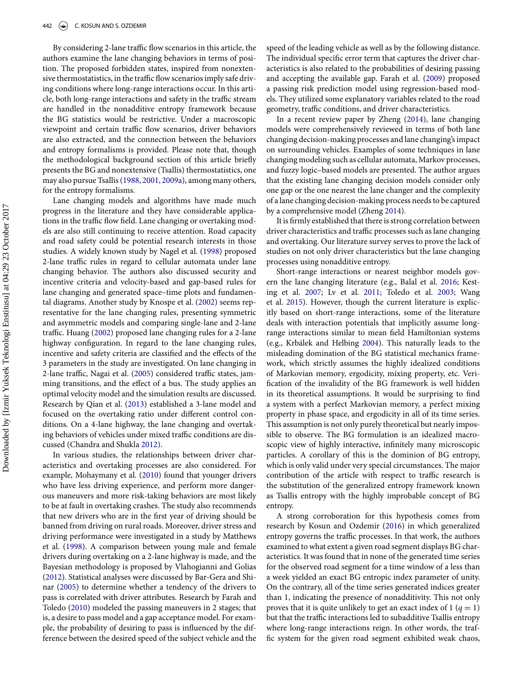By considering 2-lane traffic flow scenarios in this article, the authors examine the lane changing behaviors in terms of position. The proposed forbidden states, inspired from nonextensive thermostatistics, in the traffic flow scenarios imply safe driving conditions where long-range interactions occur. In this article, both long-range interactions and safety in the traffic stream are handled in the nonadditive entropy framework because the BG statistics would be restrictive. Under a macroscopic viewpoint and certain traffic flow scenarios, driver behaviors are also extracted, and the connection between the behaviors and entropy formalisms is provided. Please note that, though the methodological background section of this article briefly presents the BG and nonextensive (Tsallis) thermostatistics, one may also pursue Tsallis [\(1988,](#page-6-2) [2001,](#page-6-3) [2009a\)](#page-6-4), among many others, for the entropy formalisms.

Lane changing models and algorithms have made much progress in the literature and they have considerable applications in the traffic flow field. Lane changing or overtaking models are also still continuing to receive attention. Road capacity and road safety could be potential research interests in those studies. A widely known study by Nagel et al. [\(1998\)](#page-6-5) proposed 2-lane traffic rules in regard to cellular automata under lane changing behavior. The authors also discussed security and incentive criteria and velocity-based and gap-based rules for lane changing and generated space–time plots and fundamental diagrams. Another study by Knospe et al. [\(2002\)](#page-6-6) seems representative for the lane changing rules, presenting symmetric and asymmetric models and comparing single-lane and 2-lane traffic. Huang [\(2002\)](#page-6-7) proposed lane changing rules for a 2-lane highway configuration. In regard to the lane changing rules, incentive and safety criteria are classified and the effects of the 3 parameters in the study are investigated. On lane changing in 2-lane traffic, Nagai et al. [\(2005\)](#page-6-8) considered traffic states, jamming transitions, and the effect of a bus. The study applies an optimal velocity model and the simulation results are discussed. Research by Qian et al. [\(2013\)](#page-6-9) established a 3-lane model and focused on the overtaking ratio under different control conditions. On a 4-lane highway, the lane changing and overtaking behaviors of vehicles under mixed traffic conditions are discussed (Chandra and Shukla [2012\)](#page-6-10).

In various studies, the relationships between driver characteristics and overtaking processes are also considered. For example, Mohaymany et al. [\(2010\)](#page-6-11) found that younger drivers who have less driving experience, and perform more dangerous maneuvers and more risk-taking behaviors are most likely to be at fault in overtaking crashes. The study also recommends that new drivers who are in the first year of driving should be banned from driving on rural roads. Moreover, driver stress and driving performance were investigated in a study by Matthews et al. [\(1998\)](#page-6-12). A comparison between young male and female drivers during overtaking on a 2-lane highway is made, and the Bayesian methodology is proposed by Vlahogianni and Golias [\(2012\)](#page-6-13). Statistical analyses were discussed by Bar-Gera and Shinar [\(2005\)](#page-6-14) to determine whether a tendency of the drivers to pass is correlated with driver attributes. Research by Farah and Toledo [\(2010\)](#page-6-15) modeled the passing maneuvers in 2 stages; that is, a desire to pass model and a gap acceptance model. For example, the probability of desiring to pass is influenced by the difference between the desired speed of the subject vehicle and the

speed of the leading vehicle as well as by the following distance. The individual specific error term that captures the driver characteristics is also related to the probabilities of desiring passing and accepting the available gap. Farah et al. [\(2009\)](#page-6-16) proposed a passing risk prediction model using regression-based models. They utilized some explanatory variables related to the road geometry, traffic conditions, and driver characteristics.

In a recent review paper by Zheng [\(2014\)](#page-6-17), lane changing models were comprehensively reviewed in terms of both lane changing decision-making processes and lane changing's impact on surrounding vehicles. Examples of some techniques in lane changing modeling such as cellular automata, Markov processes, and fuzzy logic–based models are presented. The author argues that the existing lane changing decision models consider only one gap or the one nearest the lane changer and the complexity of a lane changing decision-making process needs to be captured by a comprehensive model (Zheng [2014\)](#page-6-17).

It is firmly established that there is strong correlation between driver characteristics and traffic processes such as lane changing and overtaking. Our literature survey serves to prove the lack of studies on not only driver characteristics but the lane changing processes using nonadditive entropy.

Short-range interactions or nearest neighbor models govern the lane changing literature (e.g., Balal et al. [2016;](#page-6-18) Kesting et al. [2007;](#page-6-19) Lv et al. [2011;](#page-6-20) Toledo et al. [2003;](#page-6-21) Wang et al. [2015\)](#page-6-22). However, though the current literature is explicitly based on short-range interactions, some of the literature deals with interaction potentials that implicitly assume longrange interactions similar to mean field Hamiltonian systems (e.g., Krbálek and Helbing [2004\)](#page-6-23). This naturally leads to the misleading domination of the BG statistical mechanics framework, which strictly assumes the highly idealized conditions of Markovian memory, ergodicity, mixing property, etc. Verification of the invalidity of the BG framework is well hidden in its theoretical assumptions. It would be surprising to find a system with a perfect Markovian memory, a perfect mixing property in phase space, and ergodicity in all of its time series. This assumption is not only purely theoretical but nearly impossible to observe. The BG formulation is an idealized macroscopic view of highly interactive, infinitely many microscopic particles. A corollary of this is the dominion of BG entropy, which is only valid under very special circumstances. The major contribution of the article with respect to traffic research is the substitution of the generalized entropy framework known as Tsallis entropy with the highly improbable concept of BG entropy.

A strong corroboration for this hypothesis comes from research by Kosun and Ozdemir [\(2016\)](#page-6-24) in which generalized entropy governs the traffic processes. In that work, the authors examined to what extent a given road segment displays BG characteristics. It was found that in none of the generated time series for the observed road segment for a time window of a less than a week yielded an exact BG entropic index parameter of unity. On the contrary, all of the time series generated indices greater than 1, indicating the presence of nonadditivity. This not only proves that it is quite unlikely to get an exact index of  $1 (q = 1)$ but that the traffic interactions led to subadditive Tsallis entropy where long-range interactions reign. In other words, the traffic system for the given road segment exhibited weak chaos,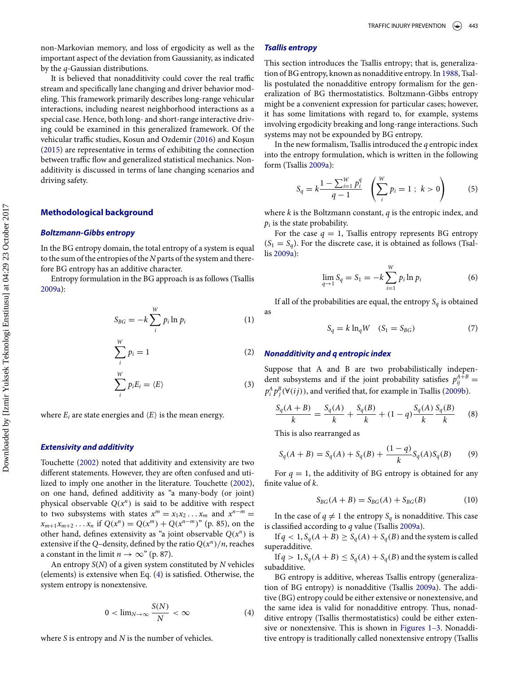non-Markovian memory, and loss of ergodicity as well as the important aspect of the deviation from Gaussianity, as indicated by the *q*-Gaussian distributions.

It is believed that nonadditivity could cover the real traffic stream and specifically lane changing and driver behavior modeling. This framework primarily describes long-range vehicular interactions, including nearest neighborhood interactions as a special case. Hence, both long- and short-range interactive driving could be examined in this generalized framework. Of the vehicular traffic studies, Kosun and Ozdemir [\(2016\)](#page-6-24) and Koşun [\(2015\)](#page-6-25) are representative in terms of exhibiting the connection between traffic flow and generalized statistical mechanics. Nonadditivity is discussed in terms of lane changing scenarios and driving safety.

## **Methodological background**

#### *Boltzmann-Gibbs entropy*

In the BG entropy domain, the total entropy of a system is equal to the sum of the entropies of the *N* parts of the system and therefore BG entropy has an additive character.

Entropy formulation in the BG approach is as follows (Tsallis [2009a\)](#page-6-4):

$$
S_{BG} = -k \sum_{i}^{W} p_i \ln p_i \tag{1}
$$

$$
\sum_{i}^{W} p_i = 1 \tag{2}
$$

$$
\sum_{i}^{W} p_{i} E_{i} = \langle E \rangle \tag{3}
$$

where  $E_i$  are state energies and  $\langle E \rangle$  is the mean energy.

#### *Extensivity and additivity*

Touchette [\(2002\)](#page-6-26) noted that additivity and extensivity are two different statements. However, they are often confused and utilized to imply one another in the literature. Touchette [\(2002\)](#page-6-26), on one hand, defined additivity as "a many-body (or joint) physical observable  $Q(x^n)$  is said to be additive with respect to two subsystems with states  $x^m = x_1 x_2 \dots x_m$  and  $x^{n-m} =$  $x_{m+1}x_{m+2}...x_n$  if  $Q(x^n) = Q(x^m) + Q(x^{n-m})$ " (p. 85), on the other hand, defines extensivity as "a joint observable  $Q(x^n)$  is extensive if the *Q*–density, defined by the ratio  $Q(x^n)/n$ , reaches a constant in the limit  $n \to \infty$ " (p. 87).

An entropy *S*(*N*) of a given system constituted by *N* vehicles (elements) is extensive when Eq. [\(4\)](#page-2-0) is satisfied. Otherwise, the system entropy is nonextensive.

$$
0 < \lim_{N \to \infty} \frac{S(N)}{N} < \infty \tag{4}
$$

where *S* is entropy and *N* is the number of vehicles.

#### *Tsallis entropy*

This section introduces the Tsallis entropy; that is, generalization of BG entropy, known as nonadditive entropy. In [1988,](#page-6-2) Tsallis postulated the nonadditive entropy formalism for the generalization of BG thermostatistics. Boltzmann-Gibbs entropy might be a convenient expression for particular cases; however, it has some limitations with regard to, for example, systems involving ergodicity breaking and long-range interactions. Such systems may not be expounded by BG entropy.

In the new formalism, Tsallis introduced the *q* entropic index into the entropy formulation, which is written in the following form (Tsallis [2009a\)](#page-6-4):

$$
S_q = k \frac{1 - \sum_{i=1}^{W} p_i^q}{q - 1} \left( \sum_{i=1}^{W} p_i = 1 \; ; \; k > 0 \right) \tag{5}
$$

where *k* is the Boltzmann constant, *q* is the entropic index, and  $p_i$  is the state probability.

For the case  $q = 1$ , Tsallis entropy represents BG entropy  $(S_1 = S_q)$ . For the discrete case, it is obtained as follows (Tsallis [2009a\)](#page-6-4):

$$
\lim_{q \to 1} S_q = S_1 = -k \sum_{i=1}^{W} p_i \ln p_i \tag{6}
$$

If all of the probabilities are equal, the entropy  $S_q$  is obtained as

<span id="page-2-1"></span>
$$
S_q = k \ln_q W \quad (S_1 = S_{BG}) \tag{7}
$$

#### *Nonadditivity and q entropic index*

Suppose that A and B are two probabilistically independent subsystems and if the joint probability satisfies  $p_{ij}^{A+B}$  =  $p_i^A p_j^B (\forall (ij))$ , and verified that, for example in Tsallis [\(2009b\)](#page-6-27).

$$
\frac{S_q(A+B)}{k} = \frac{S_q(A)}{k} + \frac{S_q(B)}{k} + (1-q)\frac{S_q(A)}{k}\frac{S_q(B)}{k}
$$
 (8)

This is also rearranged as

$$
S_q(A + B) = S_q(A) + S_q(B) + \frac{(1 - q)}{k} S_q(A) S_q(B)
$$
(9)

For  $q = 1$ , the additivity of BG entropy is obtained for any finite value of *k*.

$$
S_{BG}(A + B) = S_{BG}(A) + S_{BG}(B)
$$
 (10)

In the case of  $q \neq 1$  the entropy  $S_q$  is nonadditive. This case is classified according to *q* value (Tsallis [2009a\)](#page-6-4).

If  $q < 1$ ,  $S_q(A + B) \geq S_q(A) + S_q(B)$  and the system is called superadditive.

If  $q > 1$ ,  $S_q(A + B) \leq S_q(A) + S_q(B)$  and the system is called subadditive.

<span id="page-2-0"></span>BG entropy is additive, whereas Tsallis entropy (generalization of BG entropy) is nonadditive (Tsallis [2009a\)](#page-6-4). The additive (BG) entropy could be either extensive or nonextensive, and the same idea is valid for nonadditive entropy. Thus, nonadditive entropy (Tsallis thermostatistics) could be either extensive or nonextensive. This is shown in [Figures 1–3.](#page-3-0) Nonadditiv[e](#page-3-0) entropy is traditionally called nonextensive entropy (Tsallis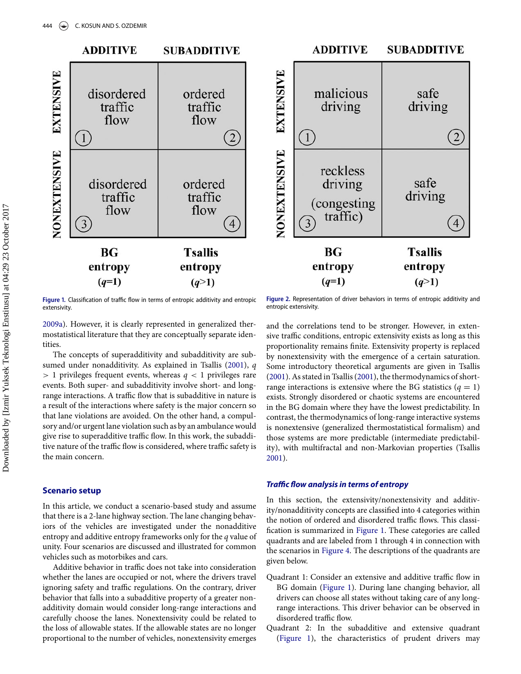<span id="page-3-1"></span><span id="page-3-0"></span>

Figure 1. Classification of traffic flow in terms of entropic additivity and entropic extensivity.

Figure 2. Representation of driver behaviors in terms of entropic additivity and entropic extensivity.

[2009a\)](#page-6-4). However, it is clearly represented in generalized thermostatistical literature that they are conceptually separate identities.

The concepts of superadditivity and subadditivity are subsumed under nonadditivity. As explained in Tsallis [\(2001\)](#page-6-3), *q >* 1 privileges frequent events, whereas *q <* 1 privileges rare events[.](#page-3-1) Bot[h](#page-4-0) super- and subadditivity involve short- and longrange interactions. A traffic flow that is subadditive in nature is a result of the interactions where safety is the major concern so that lane violations are avoided. On the other hand, a compulsory and/or urgent lane violation such as by an ambulance would give rise to superadditive traffic flow. In this work, the subadditive nature of the traffic flow is considered, where traffic safety is the main concern.

## **Scenario setup**

In this article, we conduct a scenario-based study and assume that there is a 2-lane highway section. The lane changing behaviors of the vehicles are investigated under the nonadditive entropy and additive entropy frameworks only for the *q* value of unity. Four scenarios are discussed and illustrated for common vehicles such as motorbikes and cars.

Additive behavior in traffic does not take into consideration whether the lanes are occupied or not, where the drivers travel ignoring safety and traffic regulations. On the contrary, driver behavior that falls into a subadditive property of a greater nonadditivity domain would consider long-range interactions and carefully choose the lanes. Nonextensivity could be related to the loss of allowable states. If the allowable states are no longer proportional to the number of vehicles, nonextensivity emerges

and the correlations tend to be stronger. However, in extensive traffic conditions, entropic extensivity exists as long as this proportionality remains finite. Extensivity property is replaced by nonextensivity with the emergence of a certain saturation. Some introductory theoretical arguments are given in Tsallis [\(2001\)](#page-6-3). As stated in Tsallis [\(2001\)](#page-6-3), the thermodynamics of shortrange interactions is extensive where the BG statistics  $(q = 1)$ exists. Strongly disordered or chaotic systems are encountered in the BG domain where they have the lowest predictability. In contrast, the thermodynamics of long-range interactive systems is nonextensive (generalized thermostatistical formalism) and those systems are more predictable (intermediate predictability), with multifractal and non-Markovian properties (Tsallis [2001\)](#page-6-3).

#### *Traffic flow analysis in terms of entropy*

In this section, the extensivity/nonextensivity and additivity/nonadditivity concepts are classified into 4 categories within the notion of ordered and disordered traffic flows. This classification is summarized in [Figure 1.](#page-3-0) These categories are called quadrants and are labeled from 1 through 4 in connection with the scenarios in [Figure 4.](#page-4-1) The descriptions of the quadrants are given below.

- Quadrant 1: Consider an extensive and additive traffic flow in BG domain [\(Figure 1\)](#page-3-0). During lane changing behavior, all drivers can choose all states without taking care of any longrange interactions. This driver behavior can be observed in disordered traffic flow.
- Quadrant 2: In the subadditive and extensive quadrant [\(Figure 1\)](#page-3-0), the characteristics of prudent drivers may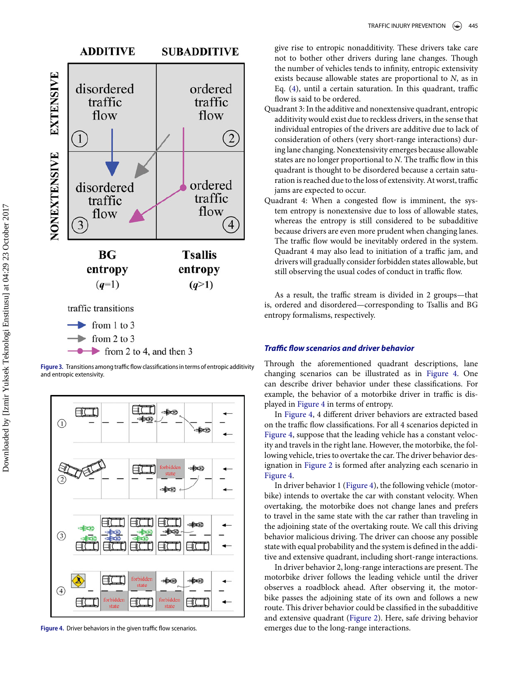<span id="page-4-0"></span>

Figure 3. Transitions among traffic flow classifications in terms of entropic additivity and entropic extensivity.

<span id="page-4-1"></span>

Figure 4. Driver behaviors in the given traffic flow scenarios

give rise to entropic nonadditivity. These drivers take care not to bother other drivers during lane changes. Though the number of vehicles tends to infinity, entropic extensivity exists because allowable states are proportional to *N*, as in Eq. [\(4\)](#page-2-0), until a certain saturation. In this quadrant, traffic flow is said to be ordered.

- Quadrant 3: In the additive and nonextensive quadrant, entropic additivity would exist due to reckless drivers, in the sense that individual entropies of the drivers are additive due to lack of consideration of others (very short-range interactions) during lane changing. Nonextensivity emerges because allowable states are no longer proportional to *N*. The traffic flow in this quadrant is thought to be disordered because a certain saturation is reached due to the loss of extensivity. At worst, traffic jams are expected to occur.
- Quadrant 4: When a congested flow is imminent, the system entropy is nonextensive due to loss of allowable states, whereas the entropy is still considered to be subadditive because drivers are even more prudent when changing lanes. The traffic flow would be inevitably ordered in the system. Quadrant 4 may also lead to initiation of a traffic jam, and drivers will gradually consider forbidden states allowable, but still observing the usual codes of conduct in traffic flow.

As a result, the traffic stream is divided in 2 groups—that is, ordered and disordered—corresponding to Tsallis and BG entropy formalisms, respectively.

#### *Traffic flow scenarios and driver behavior*

Through the aforementioned quadrant descriptions, lane changing scenarios can be illustrated as in [Figure 4.](#page-4-1) One can describe driver behavior under these classifications. For example, the behavior of a motorbike driver in traffic is displayed in [Figure 4](#page-4-1) in terms of entropy.

In [Figure 4,](#page-4-1) 4 different driver behaviors are extracted based on the traffic flow classifications. For all 4 scenarios depicted in [Figure 4,](#page-4-1) suppose that the leading vehicle has a constant velocity and travels in the right lane. However, the motorbike, the following vehicle, tries to overtake the car. The driver behavior designation in [Figure 2](#page-3-1) is formed after analyzing each scenario in [Figure 4.](#page-4-1)

In driver behavior 1 [\(Figure 4\)](#page-4-1), the following vehicle (motorbike) intends to overtake the car with constant velocity. When overtaking, the motorbike does not change lanes and prefers to travel in the same state with the car rather than traveling in the adjoining state of the overtaking route. We call this driving behavior malicious driving. The driver can choose any possible state with equal probability and the system is defined in the additive and extensive quadrant, including short-range interactions.

In driver behavior 2, long-range interactions are present. The motorbike driver follows the leading vehicle until the driver observes a roadblock ahead. After observing it, the motorbike passes the adjoining state of its own and follows a new route. This driver behavior could be classified in the subadditive and extensive quadrant [\(Figure 2\)](#page-3-1). Here, safe driving behavior emerges due to the long-range interactions.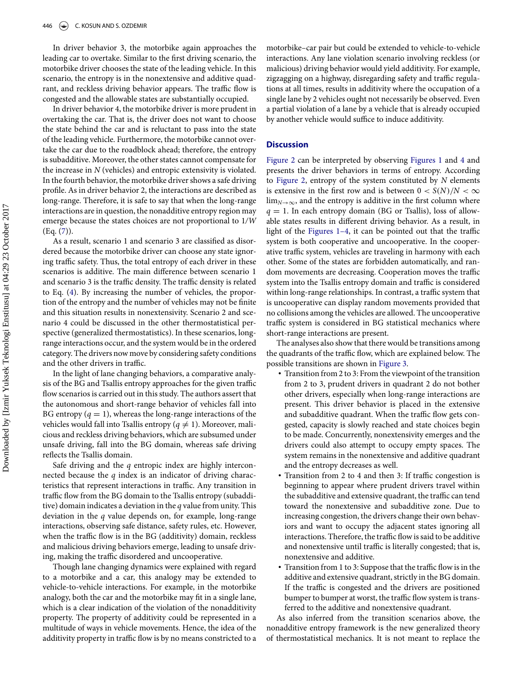In driver behavior 3, the motorbike again approaches the leading car to overtake. Similar to the first driving scenario, the motorbike driver chooses the state of the leading vehicle. In this scenario, the entropy is in the nonextensive and additive quadrant, and reckless driving behavior appears. The traffic flow is congested and the allowable states are substantially occupied.

In driver behavior 4, the motorbike driver is more prudent in overtaking the car. That is, the driver does not want to choose the state behind the car and is reluctant to pass into the state of the leading vehicle. Furthermore, the motorbike cannot overtake the car due to the roadblock ahead; therefore, the entropy is subadditive. Moreover, the other states cannot compensate for the increase in *N* (vehicles) and entropic extensivity is violated. In the fourth behavior, the motorbike driver shows a safe driving profile. As in driver behavior 2, the interactions are described as long-range. Therefore, it is safe to say that when the long-range interactions are in question, the nonadditive entropy region may emerge because the states choices are not proportional to 1*/W*  $(Eq. (7))$  $(Eq. (7))$  $(Eq. (7))$ .

As a result, scenario 1 and scenario 3 are classified as disordered because the motorbike driver can choose any state ignoring traffic safety. Thus, the total entropy of each driver in these scenarios is additive. The main difference between scenario 1 and scenario 3 is the traffic density. The traffic density is related to Eq. [\(4\)](#page-2-0). By increasing the number of vehicles, the proportion of the entropy and the number of vehicles may not be finite and this situation results in nonextensivity. Scenario 2 and scenario 4 could be discussed in the other thermostatistical perspective (generalized thermostatistics). In these scenarios, longrange interactions occur, and the system would be in the ordered category. The drivers now move by considering safety conditions and the other drivers in traffic.

In the light of lane changing behaviors, a comparative analysis of the BG and Tsallis entropy approaches for the given traffic flow scenarios is carried out in this study. The authors assert that the autonomous and short-range behavior of vehicles fall into BG entropy  $(q = 1)$ , whereas the long-range interactions of the vehicles would fall into Tsallis entropy ( $q \neq 1$ ). Moreover, malicious and reckless driving behaviors, which are subsumed under unsafe driving, fall into the BG domain, whereas safe driving reflects the Tsallis domain.

Safe driving and the *q* entropic index are highly interconnected because the *q* index is an indicator of driving characteristics that represent interactions in traffic. Any transition in traffic flow from the BG domain to the Tsallis entropy (subadditive) domain indicates a deviation in the *q* value from unity. This deviation in the *q* value depends on, for example, long-range interactions, observing safe distance, safety rules, etc. However, when the traffic flow is in the BG (additivity) domain, reckless and malicious driving behaviors emerge, leading to unsafe driving, making the traffic disordered and uncooperative.

Though lane changing dynamics were explained with regard to a motorbike and a car, this analogy may be extended to vehicle-to-vehicle interactions. For example, in the motorbike analogy, both the car and the motorbike may fit in a single lane, which is a clear indication of the violation of the nonadditivity property. The property of additivity could be represented in a multitude of ways in vehicle movements. Hence, the idea of the additivity property in traffic flow is by no means constricted to a motorbike–car pair but could be extended to vehicle-to-vehicle interactions. Any lane violation scenario involving reckless (or malicious) driving behavior would yield additivity. For example, zigzagging on a highway, disregarding safety and traffic regulations at all times, results in additivity where the occupation of a single lane by 2 vehicles ought not necessarily be observed. Even a partial violation of a lane by a vehicle that is already occupied by another vehicle would suffice to induce additivity.

## **Discussion**

[Figure 2](#page-3-1) can be interpreted by observing [Figures 1](#page-3-0) and [4](#page-3-0) and presents the driver behaviors in terms of entropy. According to [Figure 2,](#page-3-1) entropy of the system constituted by *N* elements is extensive in the first row and is between  $0 < S(N)/N < \infty$  $\lim_{N\to\infty}$ , and the entropy is additive in the first column where  $q = 1$ . In each entropy domain (BG or Tsallis), loss of allowable states results in different driving behavior. As a result, in light of the [Figures 1–4,](#page-3-0) it can be pointed out that the traffic system is both cooperative and uncooperative. In the cooperative traffic system, vehicles are traveling in harmony with each other. Some of the states are forbidden automatically, and random movements are decreasing. Cooperation moves the traffic system into the Tsallis entropy domain and traffic is considered within long-range relationships. In contrast, a traffic system that is uncooperative can display random movements provided that no collisions among the vehicles are allowed. The uncooperative traffic system is considered in BG statistical mechanics where short-range interactions are present.

The analyses also show that there would be transitions among the quadrants of the traffic flow, which are explained below. The possible transitions are shown in [Figure 3.](#page-4-0)

- Transition from 2 to 3: From the viewpoint of the transition from 2 to 3, prudent drivers in quadrant 2 do not bother other drivers, especially when long-range interactions are present. This driver behavior is placed in the extensive and subadditive quadrant. When the traffic flow gets congested, capacity is slowly reached and state choices begin to be made. Concurrently, nonextensivity emerges and the drivers could also attempt to occupy empty spaces. The system remains in the nonextensive and additive quadrant and the entropy decreases as well.
- Transition from 2 to 4 and then 3: If traffic congestion is beginning to appear where prudent drivers travel within the subadditive and extensive quadrant, the traffic can tend toward the nonextensive and subadditive zone. Due to increasing congestion, the drivers change their own behaviors and want to occupy the adjacent states ignoring all interactions. Therefore, the traffic flow is said to be additive and nonextensive until traffic is literally congested; that is, nonextensive and additive.
- Transition from 1 to 3: Suppose that the traffic flow is in the additive and extensive quadrant, strictly in the BG domain. If the traffic is congested and the drivers are positioned bumper to bumper at worst, the traffic flow system is transferred to the additive and nonextensive quadrant.

As also inferred from the transition scenarios above, the nonadditive entropy framework is the new generalized theory of thermostatistical mechanics. It is not meant to replace the